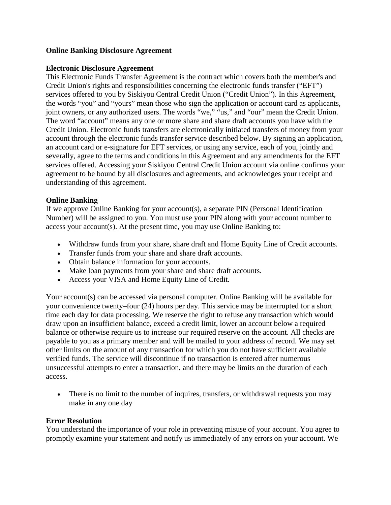### **Online Banking Disclosure Agreement**

### **Electronic Disclosure Agreement**

This Electronic Funds Transfer Agreement is the contract which covers both the member's and Credit Union's rights and responsibilities concerning the electronic funds transfer ("EFT") services offered to you by Siskiyou Central Credit Union ("Credit Union"). In this Agreement, the words "you" and "yours" mean those who sign the application or account card as applicants, joint owners, or any authorized users. The words "we," "us," and "our" mean the Credit Union. The word "account" means any one or more share and share draft accounts you have with the Credit Union. Electronic funds transfers are electronically initiated transfers of money from your account through the electronic funds transfer service described below. By signing an application, an account card or e-signature for EFT services, or using any service, each of you, jointly and severally, agree to the terms and conditions in this Agreement and any amendments for the EFT services offered. Accessing your Siskiyou Central Credit Union account via online confirms your agreement to be bound by all disclosures and agreements, and acknowledges your receipt and understanding of this agreement.

## **Online Banking**

If we approve Online Banking for your account(s), a separate PIN (Personal Identification Number) will be assigned to you. You must use your PIN along with your account number to access your account(s). At the present time, you may use Online Banking to:

- Withdraw funds from your share, share draft and Home Equity Line of Credit accounts.
- Transfer funds from your share and share draft accounts.
- Obtain balance information for your accounts.
- Make loan payments from your share and share draft accounts.
- Access your VISA and Home Equity Line of Credit.

Your account(s) can be accessed via personal computer. Online Banking will be available for your convenience twenty–four (24) hours per day. This service may be interrupted for a short time each day for data processing. We reserve the right to refuse any transaction which would draw upon an insufficient balance, exceed a credit limit, lower an account below a required balance or otherwise require us to increase our required reserve on the account. All checks are payable to you as a primary member and will be mailed to your address of record. We may set other limits on the amount of any transaction for which you do not have sufficient available verified funds. The service will discontinue if no transaction is entered after numerous unsuccessful attempts to enter a transaction, and there may be limits on the duration of each access.

• There is no limit to the number of inquires, transfers, or withdrawal requests you may make in any one day

### **Error Resolution**

You understand the importance of your role in preventing misuse of your account. You agree to promptly examine your statement and notify us immediately of any errors on your account. We